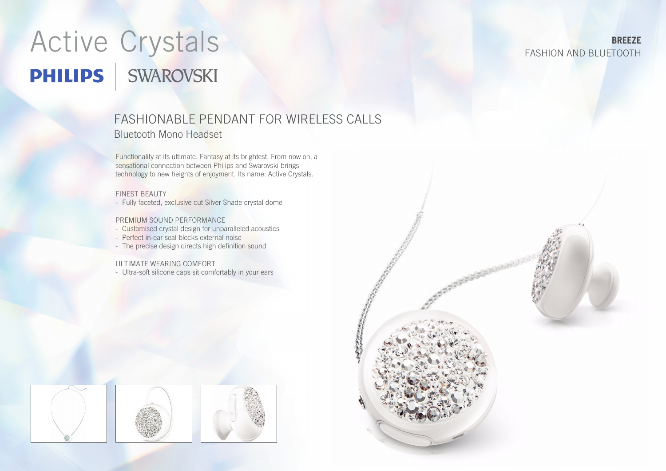# Active Crystals **PHILIPS** SWAROVSKI

# FASHIONABLE PENDANT FOR WIRELESS CALLS Bluetooth Mono Headset

Functionality at its ultimate. Fantasy at its brightest. From now on, a sensational connection between Philips and Swarovski brings technology to new heights of enjoyment. Its name: Active Crystals.

#### FINEST BEAUTY

- Fully faceted, exclusive cut Silver Shade crystal dome

#### PREMIUM SOUND PERFORMANCE

- Customised crystal design for unparalleled acoustics
- Perfect in-ear seal blocks external noise
- The precise design directs high definition sound

#### ULTIMATE WEARING COMFORT

- Ultra-soft silicone caps sit comfortably in your ears





## **BREEZE** FASHION AND BLUETOOTH